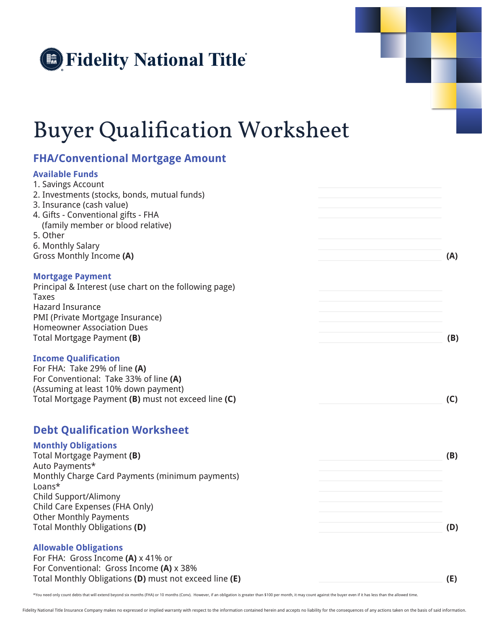